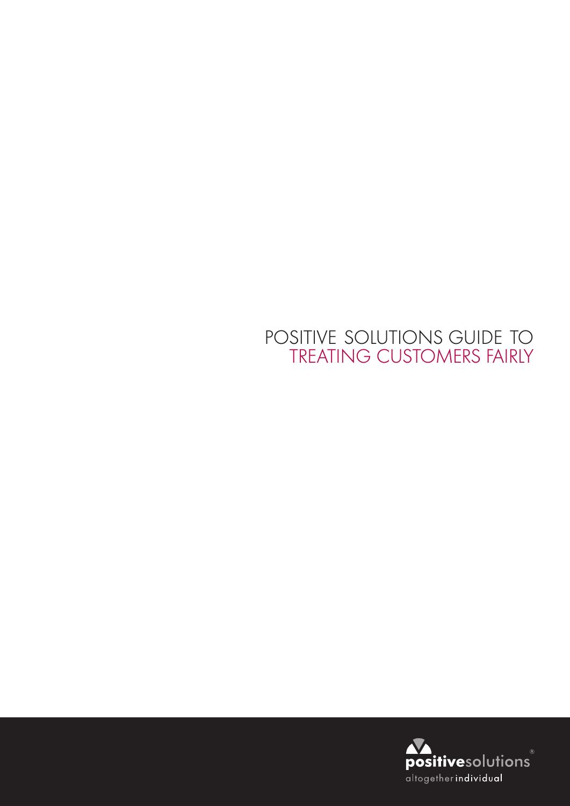## POSITIVE SOLUTIONS GUIDE TO TREATING CUSTOMERS FAIRLY